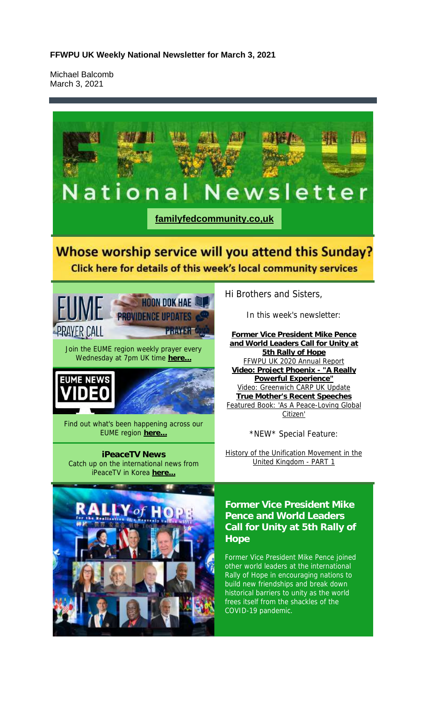Michael Balcomb March 3, 2021

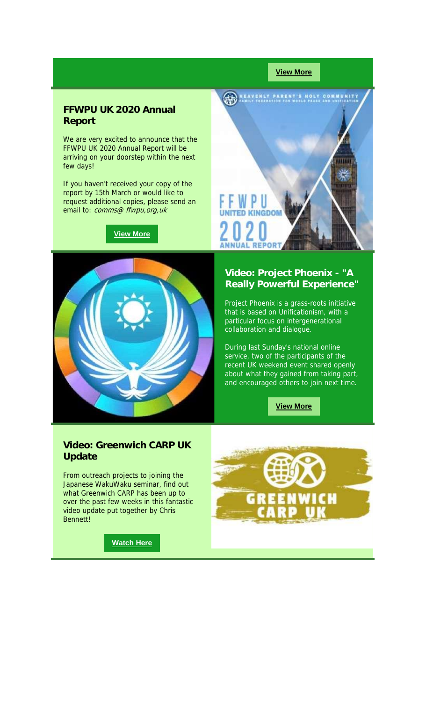#### **View More**

#### **FFWPU UK 2020 Annual Report**

We are very excited to announce that the FFWPU UK 2020 Annual Report will be arriving on your doorstep within the next few days!

If you haven't received your copy of the report by 15th March or would like to request additional copies, please send an email to: comms@ ffwpu, org, uk

**View More**



**AN HEAVENLY PARENT'S HOLY COMMUNITY** πп РU **ED KINGDON REPORT** 

#### **Video: Project Phoenix - "A Really Powerful Experience"**

Project Phoenix is a grass-roots initiative that is based on Unificationism, with a particular focus on intergenerational collaboration and dialogue.

During last Sunday's national online service, two of the participants of the recent UK weekend event shared openly about what they gained from taking part, and encouraged others to join next time.

**View More**

#### **Video: Greenwich CARP UK Update**

From outreach projects to joining the Japanese WakuWaku seminar, find out what Greenwich CARP has been up to over the past few weeks in this fantastic video update put together by Chris Bennett!



**Watch Here**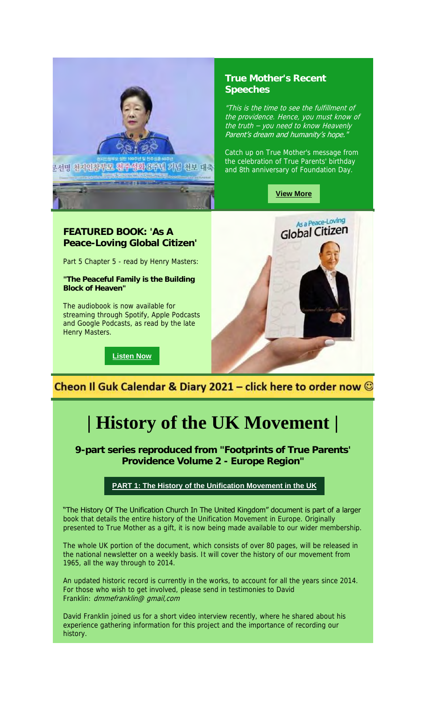

#### **True Mother's Recent Speeches**

"This is the time to see the fulfillment of the providence. Hence, you must know of the truth – you need to know Heavenly Parent's dream and humanity's hope."

Catch up on True Mother's message from the celebration of True Parents' birthday and 8th anniversary of Foundation Day.

**View More**

# **Peace-Loving Global Citizen'**

Part 5 Chapter 5 - read by Henry Masters:

**"The Peaceful Family is the Building Block of Heaven"**

The audiobook is now available for streaming through Spotify, Apple Podcasts and Google Podcasts, as read by the late Henry Masters.

**Listen Now**



### Cheon Il Guk Calendar & Diary 2021 – click here to order now  $\mathbb G$

## **| History of the UK Movement |**

**9-part series reproduced from "Footprints of True Parents' Providence Volume 2 - Europe Region"**

#### **PART 1: The History of the Unification Movement in the UK**

"The History Of The Unification Church In The United Kingdom" document is part of a larger book that details the entire history of the Unification Movement in Europe. Originally presented to True Mother as a gift, it is now being made available to our wider membership.

The whole UK portion of the document, which consists of over 80 pages, will be released in the national newsletter on a weekly basis. It will cover the history of our movement from 1965, all the way through to 2014.

An updated historic record is currently in the works, to account for all the years since 2014. For those who wish to get involved, please send in testimonies to David Franklin: dmmefranklin@ gmail,com

David Franklin joined us for a short video interview recently, where he shared about his experience gathering information for this project and the importance of recording our history.